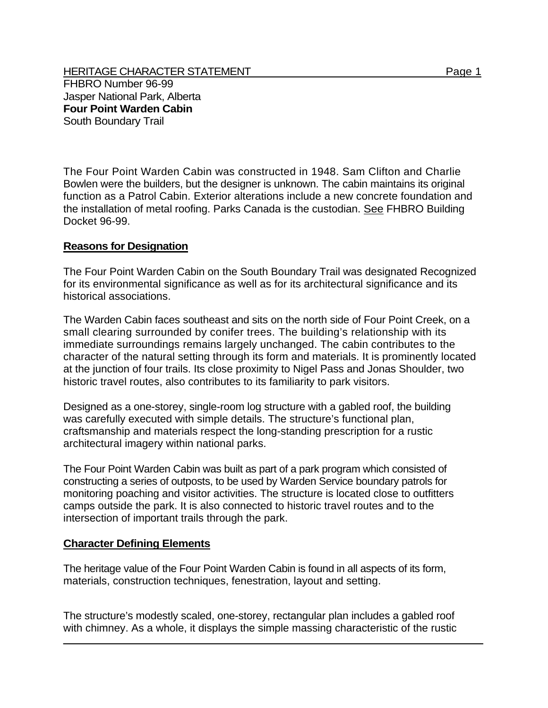HERITAGE CHARACTER STATEMENT FRIELD FOR A STATEMENT AND RESEARCHERITY OF A STATEMENT PAGE 1 FHBRO Number 96-99 Jasper National Park, Alberta **Four Point Warden Cabin**  South Boundary Trail

The Four Point Warden Cabin was constructed in 1948. Sam Clifton and Charlie Bowlen were the builders, but the designer is unknown. The cabin maintains its original function as a Patrol Cabin. Exterior alterations include a new concrete foundation and the installation of metal roofing. Parks Canada is the custodian. See FHBRO Building Docket 96-99.

## **Reasons for Designation**

The Four Point Warden Cabin on the South Boundary Trail was designated Recognized for its environmental significance as well as for its architectural significance and its historical associations.

The Warden Cabin faces southeast and sits on the north side of Four Point Creek, on a small clearing surrounded by conifer trees. The building's relationship with its immediate surroundings remains largely unchanged. The cabin contributes to the character of the natural setting through its form and materials. It is prominently located at the junction of four trails. Its close proximity to Nigel Pass and Jonas Shoulder, two historic travel routes, also contributes to its familiarity to park visitors.

Designed as a one-storey, single-room log structure with a gabled roof, the building was carefully executed with simple details. The structure's functional plan, craftsmanship and materials respect the long-standing prescription for a rustic architectural imagery within national parks.

The Four Point Warden Cabin was built as part of a park program which consisted of constructing a series of outposts, to be used by Warden Service boundary patrols for monitoring poaching and visitor activities. The structure is located close to outfitters camps outside the park. It is also connected to historic travel routes and to the intersection of important trails through the park.

## **Character Defining Elements**

The heritage value of the Four Point Warden Cabin is found in all aspects of its form, materials, construction techniques, fenestration, layout and setting.

The structure's modestly scaled, one-storey, rectangular plan includes a gabled roof with chimney. As a whole, it displays the simple massing characteristic of the rustic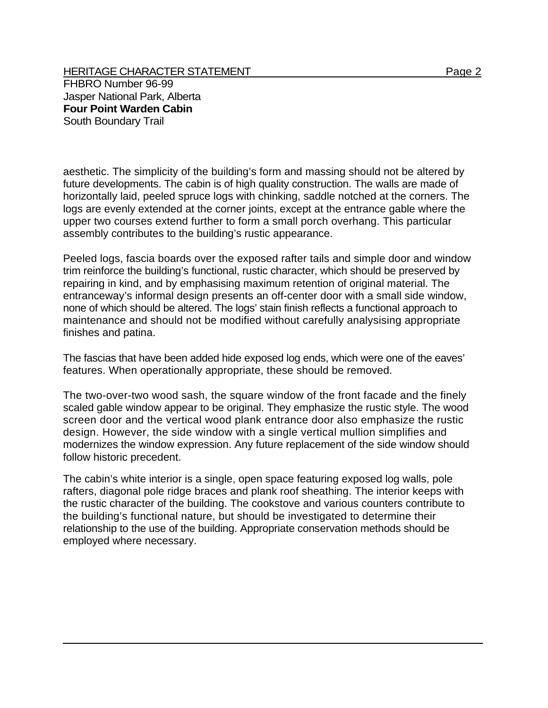HERITAGE CHARACTER STATEMENT FRIEL AND THE Page 2 FHBRO Number 96-99 Jasper National Park, Alberta **Four Point Warden Cabin**  South Boundary Trail

aesthetic. The simplicity of the building's form and massing should not be altered by future developments. The cabin is of high quality construction. The walls are made of horizontally laid, peeled spruce logs with chinking, saddle notched at the corners. The logs are evenly extended at the corner joints, except at the entrance gable where the upper two courses extend further to form a small porch overhang. This particular assembly contributes to the building's rustic appearance.

Peeled logs, fascia boards over the exposed rafter tails and simple door and window trim reinforce the building's functional, rustic character, which should be preserved by repairing in kind, and by emphasising maximum retention of original material. The entranceway's informal design presents an off-center door with a small side window, none of which should be altered. The logs' stain finish reflects a functional approach to maintenance and should not be modified without carefully analysising appropriate finishes and patina.

The fascias that have been added hide exposed log ends, which were one of the eaves' features. When operationally appropriate, these should be removed.

The two-over-two wood sash, the square window of the front facade and the finely scaled gable window appear to be original. They emphasize the rustic style. The wood screen door and the vertical wood plank entrance door also emphasize the rustic design. However, the side window with a single vertical mullion simplifies and modernizes the window expression. Any future replacement of the side window should follow historic precedent.

The cabin's white interior is a single, open space featuring exposed log walls, pole rafters, diagonal pole ridge braces and plank roof sheathing. The interior keeps with the rustic character of the building. The cookstove and various counters contribute to the building's functional nature, but should be investigated to determine their relationship to the use of the building. Appropriate conservation methods should be employed where necessary.